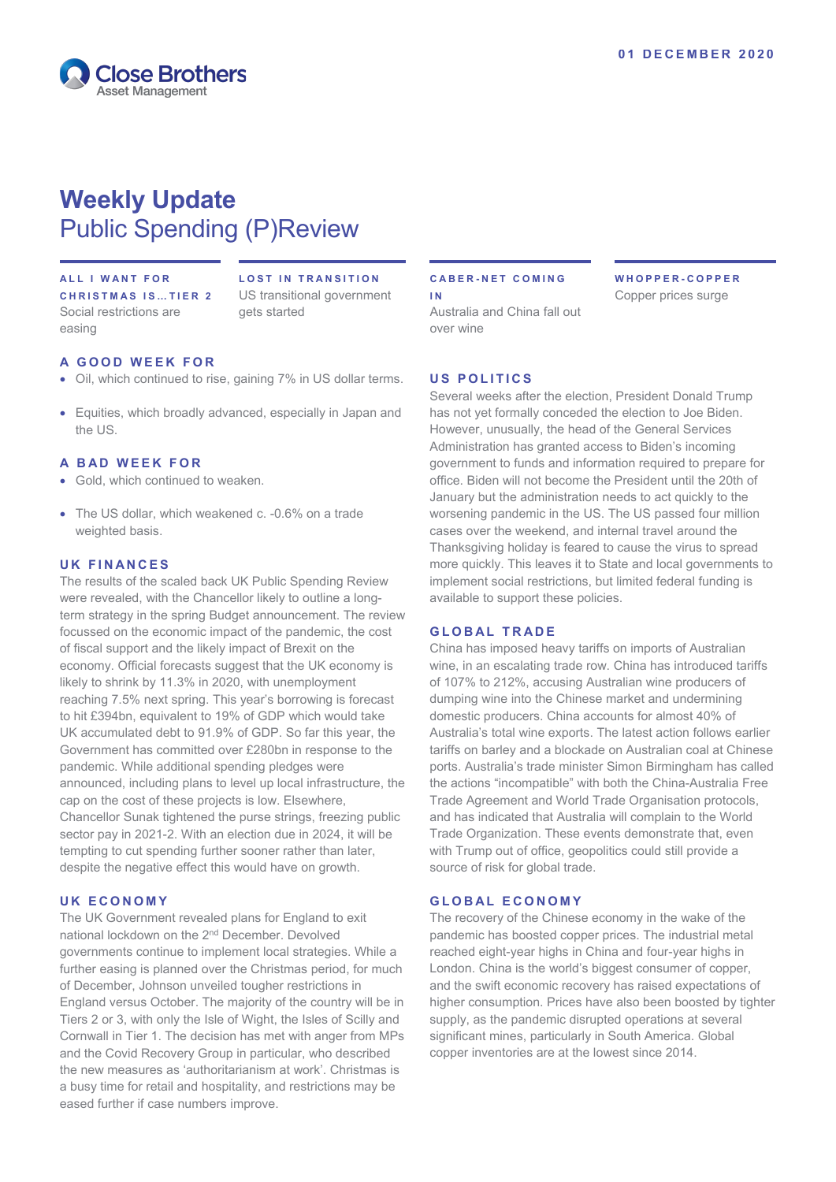

# **Weekly Update** Public Spending (P)Review

## **ALL I WANT FOR**

**CHRISTMAS IS … TIER 2** Social restrictions are easing

**LOST IN TRANSITION** US transitional government gets started

## **A GOOD WEEK FOR**

- Oil, which continued to rise, gaining 7% in US dollar terms.
- Equities, which broadly advanced, especially in Japan and the US.

#### **A BAD WEEK FOR**

- Gold, which continued to weaken.
- The US dollar, which weakened c. -0.6% on a trade weighted basis.

#### **UK FINANCES**

The results of the scaled back UK Public Spending Review were revealed, with the Chancellor likely to outline a longterm strategy in the spring Budget announcement. The review focussed on the economic impact of the pandemic, the cost of fiscal support and the likely impact of Brexit on the economy. Official forecasts suggest that the UK economy is likely to shrink by 11.3% in 2020, with unemployment reaching 7.5% next spring. This year's borrowing is forecast to hit £394bn, equivalent to 19% of GDP which would take UK accumulated debt to 91.9% of GDP. So far this year, the Government has committed over £280bn in response to the pandemic. While additional spending pledges were announced, including plans to level up local infrastructure, the cap on the cost of these projects is low. Elsewhere, Chancellor Sunak tightened the purse strings, freezing public sector pay in 2021-2. With an election due in 2024, it will be tempting to cut spending further sooner rather than later, despite the negative effect this would have on growth.

#### **UK ECONOMY**

The UK Government revealed plans for England to exit national lockdown on the 2nd December. Devolved governments continue to implement local strategies. While a further easing is planned over the Christmas period, for much of December, Johnson unveiled tougher restrictions in England versus October. The majority of the country will be in Tiers 2 or 3, with only the Isle of Wight, the Isles of Scilly and Cornwall in Tier 1. The decision has met with anger from MPs and the Covid Recovery Group in particular, who described the new measures as 'authoritarianism at work'. Christmas is a busy time for retail and hospitality, and restrictions may be eased further if case numbers improve.

#### **CABER - NET COMING I N**

Australia and China fall out over wine

**WHOPPER - COPPER** Copper prices surge

### **U S POLITICS**

Several weeks after the election, President Donald Trump has not yet formally conceded the election to Joe Biden. However, unusually, the head of the General Services Administration has granted access to Biden's incoming government to funds and information required to prepare for office. Biden will not become the President until the 20th of January but the administration needs to act quickly to the worsening pandemic in the US. The US passed four million cases over the weekend, and internal travel around the Thanksgiving holiday is feared to cause the virus to spread more quickly. This leaves it to State and local governments to implement social restrictions, but limited federal funding is available to support these policies.

## **GLOBAL TRADE**

China has imposed heavy tariffs on imports of Australian wine, in an escalating trade row. China has introduced tariffs of 107% to 212%, accusing Australian wine producers of dumping wine into the Chinese market and undermining domestic producers. China accounts for almost 40% of Australia's total wine exports. The latest action follows earlier tariffs on barley and a blockade on Australian coal at Chinese ports. Australia's trade minister [Simon Birmingham](https://www.theguardian.com/australia-news/simon-birmingham) has called the actions "incompatible" with both the China-Australia Free Trade Agreement and World Trade Organisation protocols, and has indicated that Australia will complain to the World Trade Organization. These events demonstrate that, even with Trump out of office, geopolitics could still provide a source of risk for global trade.

#### **GLOBAL ECONOMY**

The recovery of the Chinese economy in the wake of the pandemic has boosted copper prices. The industrial metal reached eight-year highs in China and four-year highs in London. China is the world's biggest consumer of copper, and the swift economic recovery has raised expectations of higher consumption. Prices have also been boosted by tighter supply, as the pandemic disrupted operations at several significant mines, particularly in South America. Global copper inventories are at the lowest since 2014.